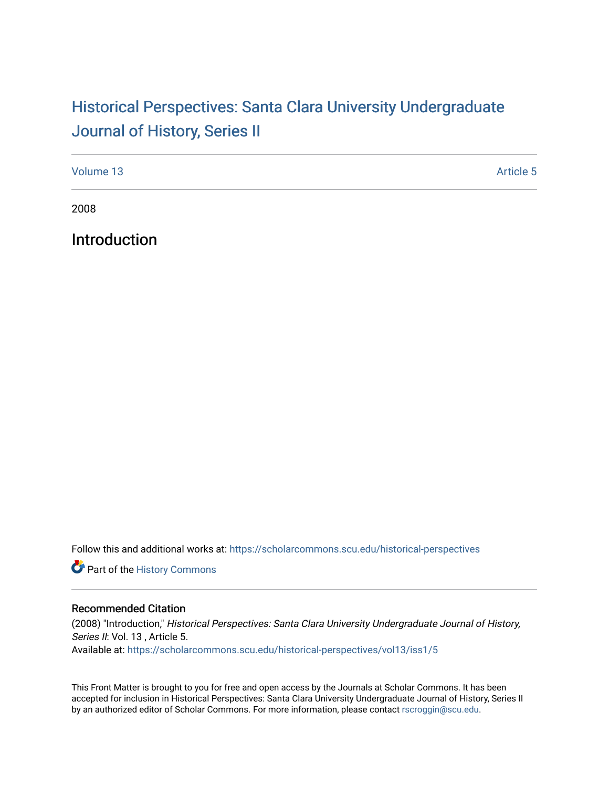## Historical Perspectiv[es: Santa Clara University Under](https://scholarcommons.scu.edu/historical-perspectives)graduate [Journal of History, Series II](https://scholarcommons.scu.edu/historical-perspectives)

| Volume 13 | <b>Article 5</b> |
|-----------|------------------|
|           |                  |

2008

Introduction

Follow this and additional works at: [https://scholarcommons.scu.edu/historical-perspectives](https://scholarcommons.scu.edu/historical-perspectives?utm_source=scholarcommons.scu.edu%2Fhistorical-perspectives%2Fvol13%2Fiss1%2F5&utm_medium=PDF&utm_campaign=PDFCoverPages) 

Part of the [History Commons](http://network.bepress.com/hgg/discipline/489?utm_source=scholarcommons.scu.edu%2Fhistorical-perspectives%2Fvol13%2Fiss1%2F5&utm_medium=PDF&utm_campaign=PDFCoverPages) 

## Recommended Citation

(2008) "Introduction," Historical Perspectives: Santa Clara University Undergraduate Journal of History, Series II: Vol. 13, Article 5. Available at: [https://scholarcommons.scu.edu/historical-perspectives/vol13/iss1/5](https://scholarcommons.scu.edu/historical-perspectives/vol13/iss1/5?utm_source=scholarcommons.scu.edu%2Fhistorical-perspectives%2Fvol13%2Fiss1%2F5&utm_medium=PDF&utm_campaign=PDFCoverPages) 

This Front Matter is brought to you for free and open access by the Journals at Scholar Commons. It has been accepted for inclusion in Historical Perspectives: Santa Clara University Undergraduate Journal of History, Series II by an authorized editor of Scholar Commons. For more information, please contact [rscroggin@scu.edu.](mailto:rscroggin@scu.edu)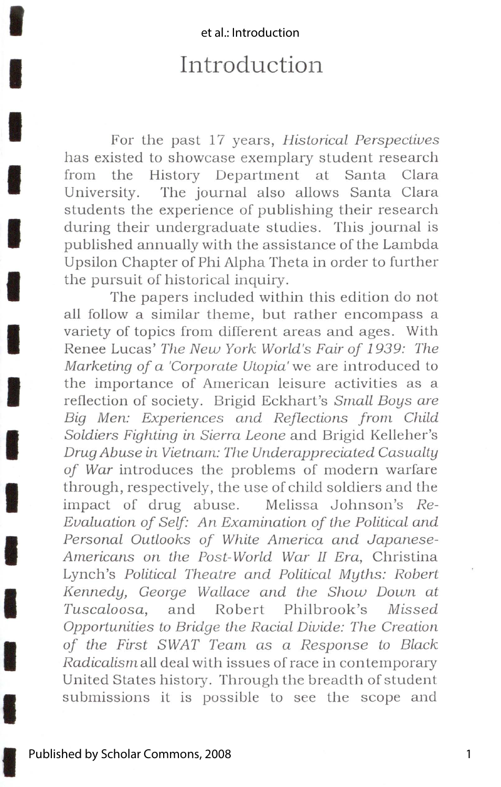## et al · Introduction

I

I.

I

I

I

I

I

I

**IX** 

I

**I** 

**ISBN** 

**IX** 

I

I

## **Introduction**

For the past 17 years, *Historical Perspectives* has existed to showcase exemplary student research from the History Department at Santa Clara University. The journal also allows Santa Clara students the experience of publishing their research during their undergraduate studies. This journal is published annually with the assistance of the Lambda Upsilon Chapter of Phi Alpha Theta in order to further the pursuit of historical inquiry.

The papers included within this edition do not all follow a similar theme, but rather encompass a variety of topics from different areas and ages. With Renee Lucas' *The New York World's Fair of 1939: The Marketing of a 'Corporale Ulopia'* we are introduced to the importance of American leisure activities as a reflection of society. Brigid Eckhart's *Small Boys are*  Big Men: Experiences and Reflections from Child *Soldiers Fighting in Sierra Leone* and Brigid Kelleher's *Drug Abuse in Vietnam: The Underapprecialed Casualty of War* introduces the problems of modern warfare through, respectively, the use of child soldiers and the impact of drug abuse. Melissa Johnson's *Re-Evaluation of Self: An Examinalion of lhe Polilical and Personal Outlooks of While America and Japanese-Americans on the Post-World War 11 Era,* Christina Lynch's *Political Theatre and Political Myths: Robert Kennedy, George Wallace and the Show Down at Tuscaloosa,* and Robert Philbrook's *Missed Opportunities lo Bridge lhe Racial Divide: The Creation of the First SWAT Team as a Response lo Black Radicalism* all deal with issues of race in contemporary United States history. Through the breadth of student submissions it is possible to see the scope and

1